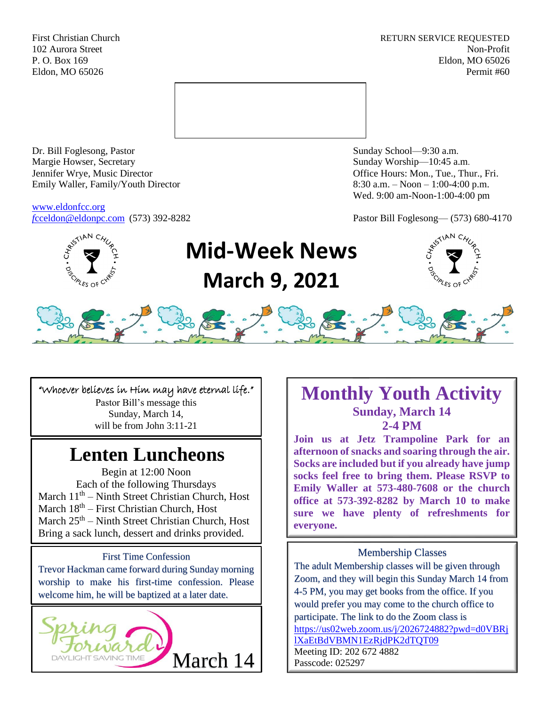First Christian Church **RETURN SERVICE REQUESTED** 102 Aurora Street Non-Profit P. O. Box 169 Eldon, MO 65026 Eldon, MO 65026 Permit #60



Dr. Bill Foglesong, Pastor Sunday School—9:30 a.m. Margie Howser, Secretary Sunday Worship—10:45 a.m. Jennifer Wrye, Music Director Office Hours: Mon., Tue., Thur., Fri. Emily Waller, Family/Youth Director 8:30 a.m. – Noon – 1:00-4:00 p.m.

[www.eldonfcc.org](http://www.eldonfcc.org/)

Wed. 9:00 am-Noon-1:00-4:00 pm

*f*[cceldon@eldonpc.com](mailto:fcceldon@eldonpc.com) (573) 392-8282 Pastor Bill Foglesong— (573) 680-4170



# **Mid-Week News March 9, 2021**





"Whoever believes in Him may have eternal life." Pastor Bill's message this

Sunday, March 14, will be from John 3:11-21

## **Lenten Luncheons**

Begin at 12:00 Noon Each of the following Thursdays March  $11<sup>th</sup>$  – Ninth Street Christian Church, Host March  $18<sup>th</sup>$  – First Christian Church, Host March  $25<sup>th</sup>$  – Ninth Street Christian Church, Host Bring a sack lunch, dessert and drinks provided.

First Time Confession Trevor Hackman came forward during Sunday morning worship to make his first-time confession. Please welcome him, he will be baptized at a later date.



### **Monthly Youth Activity Sunday, March 14 2-4 PM**

**Join us at Jetz Trampoline Park for an afternoon of snacks and soaring through the air. Socks are included but if you already have jump socks feel free to bring them. Please RSVP to Emily Waller at 573-480-7608 or the church office at 573-392-8282 by March 10 to make sure we have plenty of refreshments for everyone.** 

### Membership Classes

The adult Membership classes will be given through Zoom, and they will begin this Sunday March 14 from 4-5 PM, you may get books from the office. If you would prefer you may come to the church office to participate. The link to do the Zoom class is [https://us02web.zoom.us/j/2026724882?pwd=d0VBRj](https://us02web.zoom.us/j/2026724882?pwd=d0VBRjlXaEtBdVBMN1EzRjdPK2dTQT09) [lXaEtBdVBMN1EzRjdPK2dTQT09](https://us02web.zoom.us/j/2026724882?pwd=d0VBRjlXaEtBdVBMN1EzRjdPK2dTQT09) March  $14$  |  $^{14}$   $^{14}$   $^{14}$   $^{14}$   $^{14}$   $^{14}$   $^{14}$   $^{14}$   $^{14}$   $^{14}$   $^{14}$   $^{14}$   $^{14}$   $^{14}$   $^{14}$   $^{14}$   $^{14}$   $^{14}$   $^{14}$   $^{14}$   $^{14}$   $^{14}$   $^{14}$   $^{14}$   $^{14}$   $^{14}$   $^{14}$   $^{14}$   $^{14}$   $^{14}$